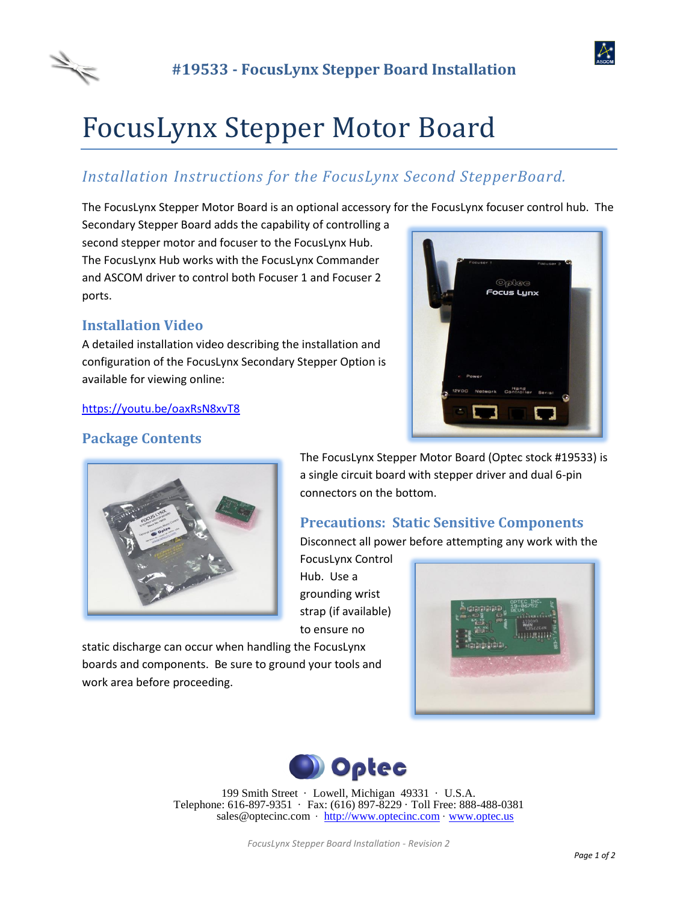



# FocusLynx Stepper Motor Board

# *Installation Instructions for the FocusLynx Second StepperBoard.*

The FocusLynx Stepper Motor Board is an optional accessory for the FocusLynx focuser control hub. The

Secondary Stepper Board adds the capability of controlling a second stepper motor and focuser to the FocusLynx Hub. The FocusLynx Hub works with the FocusLynx Commander and ASCOM driver to control both Focuser 1 and Focuser 2 ports.

## **Installation Video**

A detailed installation video describing the installation and configuration of the FocusLynx Secondary Stepper Option is available for viewing online:

## <https://youtu.be/oaxRsN8xvT8>



## **Package Contents**



The FocusLynx Stepper Motor Board (Optec stock #19533) is a single circuit board with stepper driver and dual 6-pin connectors on the bottom.

## **Precautions: Static Sensitive Components**

Disconnect all power before attempting any work with the

FocusLynx Control Hub. Use a grounding wrist strap (if available) to ensure no

static discharge can occur when handling the FocusLynx boards and components. Be sure to ground your tools and work area before proceeding.





199 Smith Street · Lowell, Michigan 49331 · U.S.A. Telephone: 616-897-9351 · Fax: (616) 897-8229 · Toll Free: 888-488-0381 sales@optecinc.com · [http://www.optecinc.com](http://www.optecinc.com/) · [www.optec.us](file://///Epsilon/data/Office%20Files/PRICES/Optec%20Prices%20and%20Terms/www.optec.us)